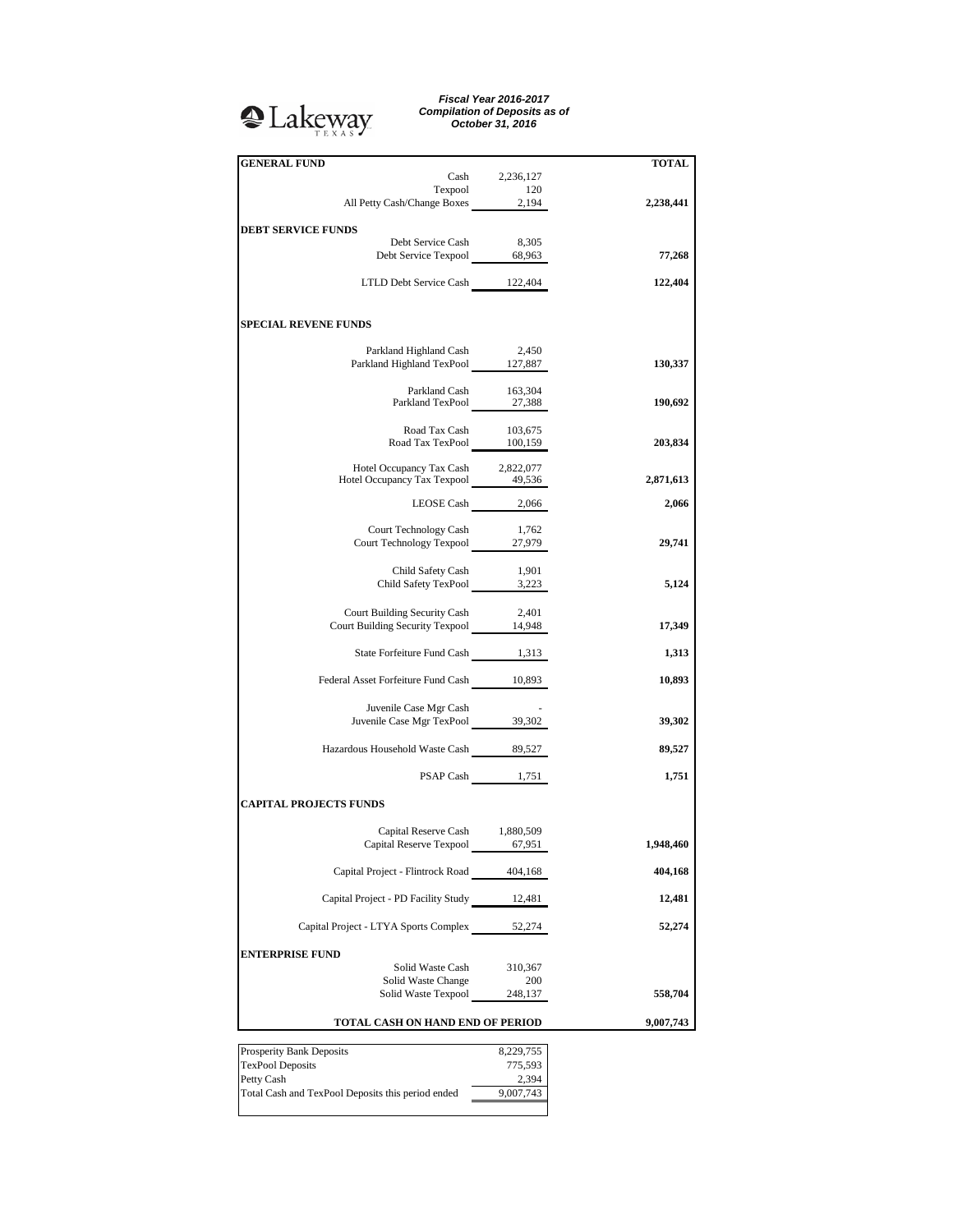## <sup>2</sup>Lakeway

*Fiscal Year 2016-2017 Compilation of Deposits as of October 31, 2016*

| <b>GENERAL FUND</b>                                                      | Cash 2,236,127     | TOTAL     |
|--------------------------------------------------------------------------|--------------------|-----------|
|                                                                          |                    |           |
| Texpool 120<br>All Petty Cash/Change Boxes 2,194                         |                    | 2,238,441 |
|                                                                          |                    |           |
| <b>DEBT SERVICE FUNDS</b>                                                |                    |           |
| Debt Service Cash<br>Debt Service Texpool 68,963                         | 8,305              |           |
|                                                                          |                    | 77,268    |
| LTLD Debt Service Cash 122,404                                           |                    | 122,404   |
|                                                                          |                    |           |
|                                                                          |                    |           |
| <b>SPECIAL REVENE FUNDS</b>                                              |                    |           |
|                                                                          |                    |           |
| Parkland Highland Cash                                                   | 2,450              |           |
| Parkland Highland TexPool 127,887                                        |                    | 130,337   |
|                                                                          |                    |           |
| Parkland Cash 163,304<br>Parkland TexPool 27,388                         |                    | 190,692   |
|                                                                          |                    |           |
|                                                                          |                    |           |
| Road Tax Cash 103,675<br>Road Tax TexPool 100,159                        |                    | 203,834   |
|                                                                          |                    |           |
| Hotel Occupancy Tax Cash 2,822,077<br>Hotel Occupancy Tax Texpool 49,536 |                    | 2,871,613 |
|                                                                          |                    |           |
|                                                                          | LEOSE Cash 2,066   | 2,066     |
|                                                                          |                    |           |
| Court Technology Cash                                                    | 1,762              |           |
| Court Technology Texpool 27,979                                          |                    | 29,741    |
|                                                                          |                    |           |
| Child Safety TexPool 1,901<br>Child Safety TexPool 3,223                 |                    | 5,124     |
|                                                                          |                    |           |
| Court Building Security Cash                                             | 2,401              |           |
| Court Building Security Texpool 14,948                                   |                    | 17,349    |
|                                                                          |                    |           |
| State Forfeiture Fund Cash 1,313                                         |                    | 1,313     |
|                                                                          |                    |           |
| Federal Asset Forfeiture Fund Cash 10,893                                |                    | 10,893    |
| Juvenile Case Mgr Cash                                                   |                    |           |
| Juvenile Case Mgr TexPool 39,302                                         |                    | 39,302    |
|                                                                          |                    |           |
| Hazardous Household Waste Cash 89,527                                    |                    | 89,527    |
|                                                                          |                    |           |
|                                                                          | PSAP Cash 1,751    | 1,751     |
|                                                                          |                    |           |
| <b>CAPITAL PROJECTS FUNDS</b>                                            |                    |           |
| Capital Reserve Cash 1,880,509                                           |                    |           |
| Capital Reserve Texpool 67,951                                           |                    | 1,948,460 |
|                                                                          |                    |           |
| Capital Project - Flintrock Road 404,168                                 |                    | 404,168   |
|                                                                          |                    |           |
| Capital Project - PD Facility Study 12,481                               |                    | 12,481    |
|                                                                          |                    |           |
| Capital Project - LTYA Sports Complex 52,274                             |                    | 52,274    |
| <b>ENTERPRISE FUND</b>                                                   |                    |           |
| Solid Waste Cash                                                         | 310,367            |           |
| Solid Waste Change                                                       | 200                |           |
| Solid Waste Texpool                                                      | 248,137            | 558,704   |
|                                                                          |                    |           |
| TOTAL CASH ON HAND END OF PERIOD                                         |                    | 9,007,743 |
|                                                                          |                    |           |
| Prosperity Bank Deposits                                                 | 8,229,755          |           |
| <b>TexPool Deposits</b>                                                  | 775,593            |           |
| Petty Cash<br>Total Cash and TexPool Deposits this period ended          | 2,394<br>9,007,743 |           |
|                                                                          |                    |           |